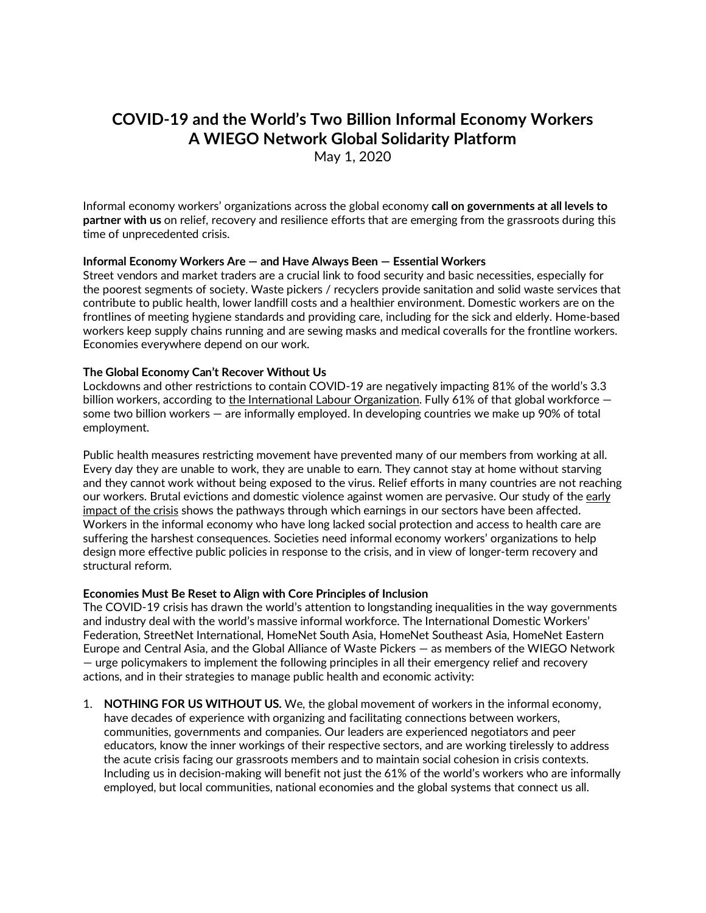# **COVID-19 and the World's Two Billion Informal Economy Workers A WIEGO Network Global Solidarity Platform**

May 1, 2020

Informal economy workers' organizations across the global economy **call on governments at all levels to partner with us** on relief, recovery and resilience efforts that are emerging from the grassroots during this time of unprecedented crisis.

#### **Informal Economy Workers Are — and Have Always Been — Essential Workers**

Street vendors and market traders are a crucial link to food security and basic necessities, especially for the poorest segments of society. Waste pickers / recyclers provide sanitation and solid waste services that contribute to public health, lower landfill costs and a healthier environment. Domestic workers are on the frontlines of meeting hygiene standards and providing care, including for the sick and elderly. Home-based workers keep supply chains running and are sewing masks and medical coveralls for the frontline workers. Economies everywhere depend on our work.

#### **The Global Economy Can't Recover Without Us**

Lockdowns and other restrictions to contain COVID-19 are negatively impacting 81% of the world's 3.3 billion workers, according to the International Labour [Organization.](https://www.ilo.org/wcmsp5/groups/public/---dgreports/---dcomm/documents/briefingnote/wcms_740877.pdf) Fully 61% of that global workforce some two billion workers — are informally employed. In developing countries we make up 90% of total employment.

Public health measures restricting movement have prevented many of our members from working at all. Every day they are unable to work, they are unable to earn. They cannot stay at home without starving and they cannot work without being exposed to the virus. Relief efforts in many countries are not reaching our workers. Brutal evictions and domestic violence against women are pervasive. Our study of the [early](https://www.wiego.org/resources/impact-public-health-measures-informal-workers-livelihoods-rapid-assessment) [impact](https://www.wiego.org/resources/impact-public-health-measures-informal-workers-livelihoods-rapid-assessment) of the crisis shows the pathways through which earnings in our sectors have been affected. Workers in the informal economy who have long lacked social protection and access to health care are suffering the harshest consequences. Societies need informal economy workers' organizations to help design more effective public policies in response to the crisis, and in view of longer-term recovery and structural reform.

#### **Economies Must Be Reset to Align with Core Principles of Inclusion**

The COVID-19 crisis has drawn the world's attention to longstanding inequalities in the way governments and industry deal with the world's massive informal workforce. The International Domestic Workers' Federation, StreetNet International, HomeNet South Asia, HomeNet Southeast Asia, HomeNet Eastern Europe and Central Asia, and the Global Alliance of Waste Pickers — as members of the WIEGO Network — urge policymakers to implement the following principles in all their emergency relief and recovery actions, and in their strategies to manage public health and economic activity:

1. **NOTHING FOR US WITHOUT US.** We, the global movement of workers in the informal economy, have decades of experience with organizing and facilitating connections between workers, communities, governments and companies. Our leaders are experienced negotiators and peer educators, know the inner workings of their respective sectors, and are working tirelessly to address the acute crisis facing our grassroots members and to maintain social cohesion in crisis contexts. Including us in decision-making will benefit not just the 61% of the world's workers who are informally employed, but local communities, national economies and the global systems that connect us all.